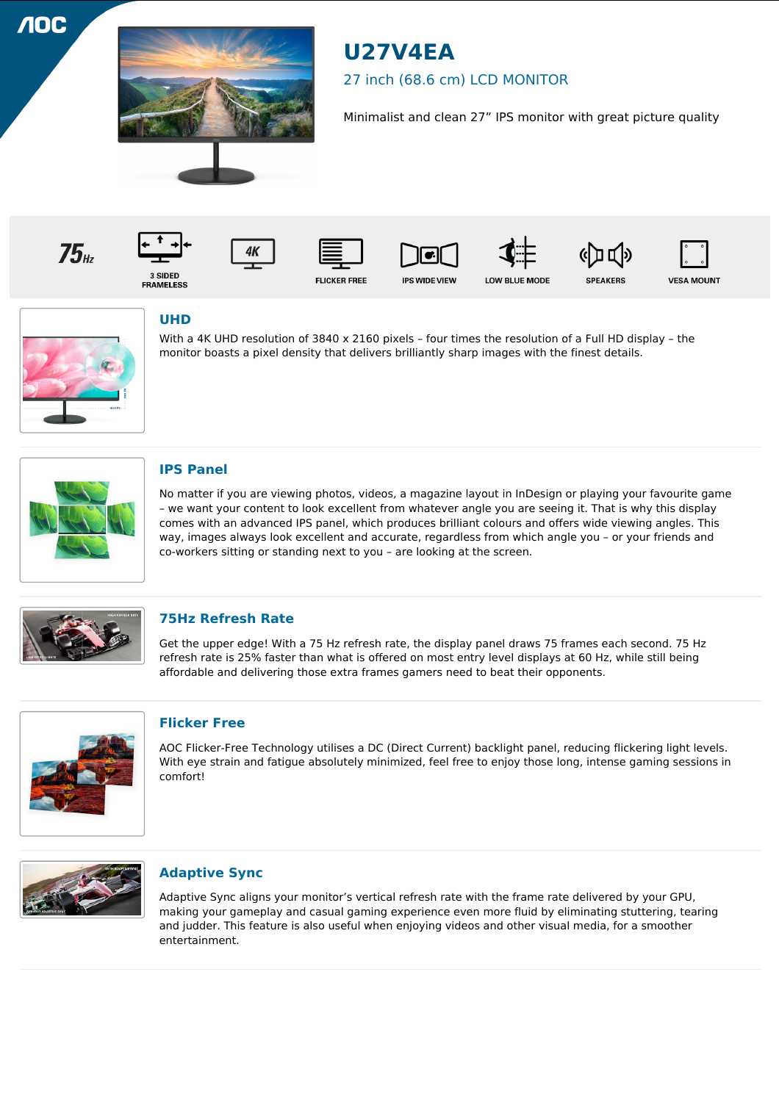**100** 



# **U27V4EA**

# 27 inch (68.6 cm) LCD MONITOR

Minimalist and clean 27" IPS monitor with great picture quality

 $75<sub>th</sub>$ 

4K 3 SIDED<br>FRAMELESS









**SPEAKERS** 





# **UHD**

With a 4K UHD resolution of 3840 x 2160 pixels – four times the resolution of a Full HD display – the monitor boasts a pixel density that delivers brilliantly sharp images with the finest details.



## **IPS Panel**

No matter if you are viewing photos, videos, a magazine layout in InDesign or playing your favourite game – we want your content to look excellent from whatever angle you are seeing it. That is why this display comes with an advanced IPS panel, which produces brilliant colours and offers wide viewing angles. This way, images always look excellent and accurate, regardless from which angle you – or your friends and co-workers sitting or standing next to you – are looking at the screen.



#### **75Hz Refresh Rate**

Get the upper edge! With a 75 Hz refresh rate, the display panel draws 75 frames each second. 75 Hz refresh rate is 25% faster than what is offered on most entry level displays at 60 Hz, while still being affordable and delivering those extra frames gamers need to beat their opponents.



#### **Flicker Free**

AOC Flicker-Free Technology utilises a DC (Direct Current) backlight panel, reducing flickering light levels. With eye strain and fatigue absolutely minimized, feel free to enjoy those long, intense gaming sessions in comfort!



## **Adaptive Sync**

Adaptive Sync aligns your monitor's vertical refresh rate with the frame rate delivered by your GPU, making your gameplay and casual gaming experience even more fluid by eliminating stuttering, tearing and judder. This feature is also useful when enjoying videos and other visual media, for a smoother entertainment.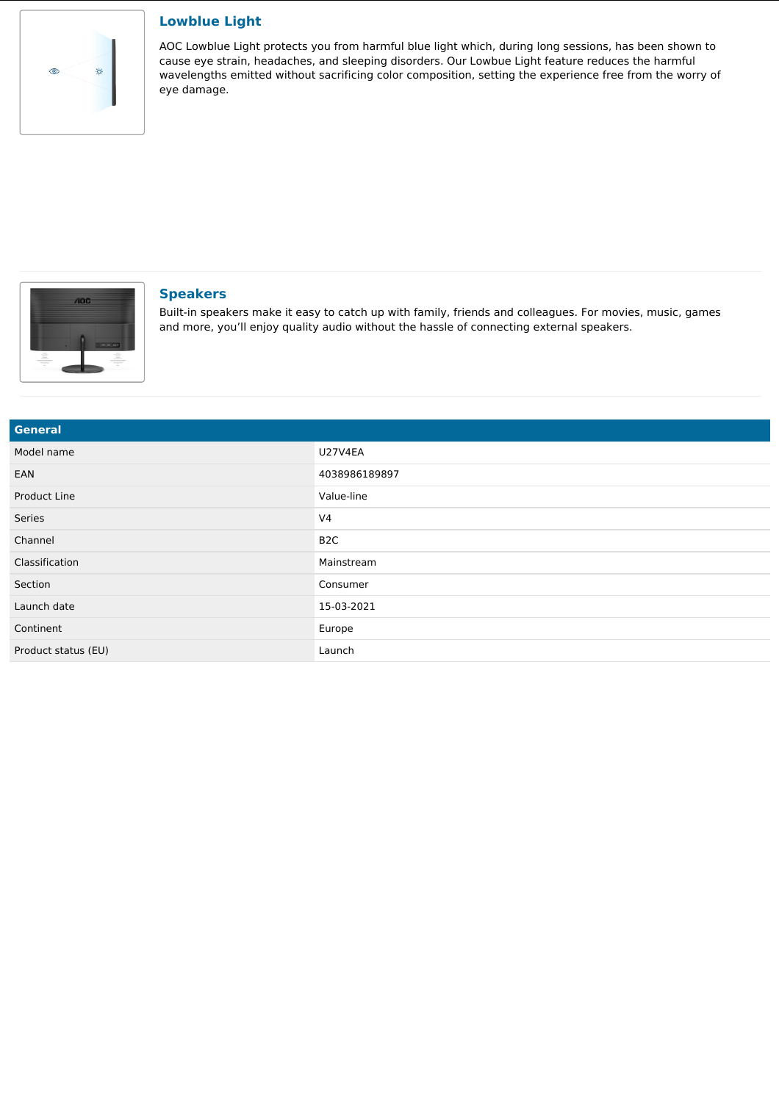

#### **Lowblue Light**

AOC Lowblue Light protects you from harmful blue light which, during long sessions, has been shown to cause eye strain, headaches, and sleeping disorders. Our Lowbue Light feature reduces the harmful wavelengths emitted without sacrificing color composition, setting the experience free from the worry of eye damage.



#### **Speakers**

Built-in speakers make it easy to catch up with family, friends and colleagues. For movies, music, games and more, you'll enjoy quality audio without the hassle of connecting external speakers.

| General             |                  |
|---------------------|------------------|
| Model name          | <b>U27V4EA</b>   |
| EAN                 | 4038986189897    |
| Product Line        | Value-line       |
| Series              | V <sub>4</sub>   |
| Channel             | B <sub>2</sub> C |
| Classification      | Mainstream       |
| Section             | Consumer         |
| Launch date         | 15-03-2021       |
| Continent           | Europe           |
| Product status (EU) | Launch           |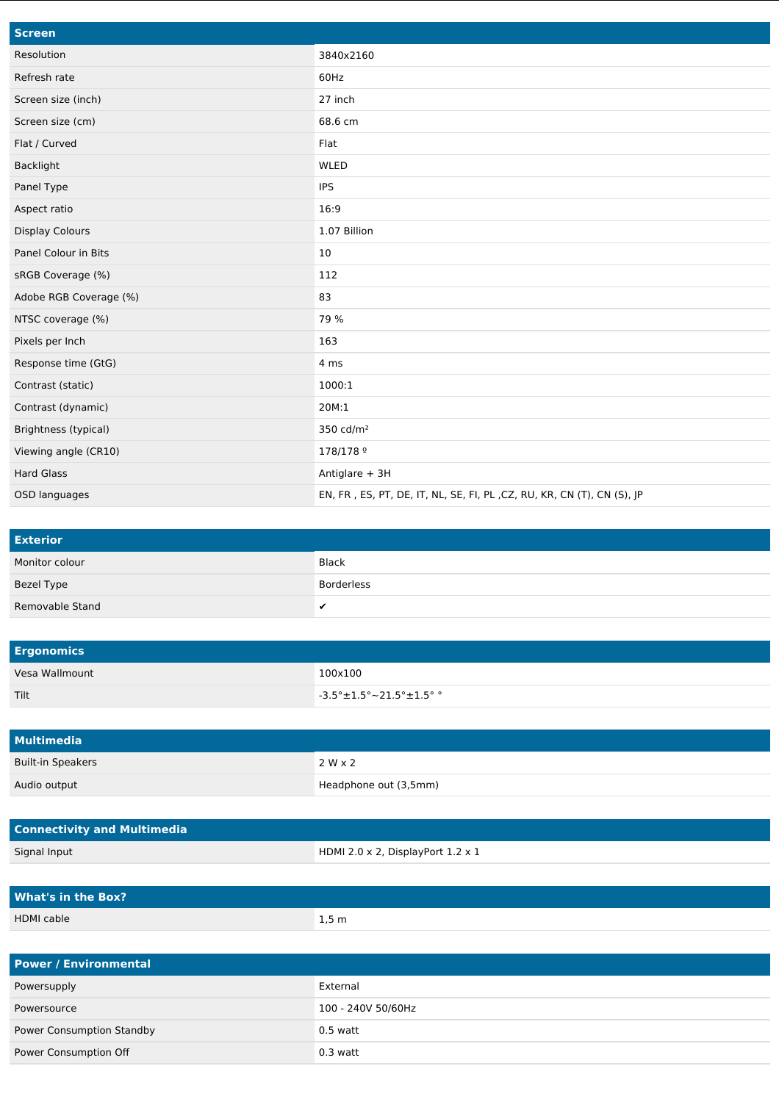| <b>Screen</b>          |                                                                        |
|------------------------|------------------------------------------------------------------------|
| Resolution             | 3840x2160                                                              |
| Refresh rate           | 60Hz                                                                   |
| Screen size (inch)     | 27 inch                                                                |
| Screen size (cm)       | 68.6 cm                                                                |
| Flat / Curved          | Flat                                                                   |
| Backlight              | <b>WLED</b>                                                            |
| Panel Type             | <b>IPS</b>                                                             |
| Aspect ratio           | 16:9                                                                   |
| <b>Display Colours</b> | 1.07 Billion                                                           |
| Panel Colour in Bits   | 10                                                                     |
| sRGB Coverage (%)      | 112                                                                    |
| Adobe RGB Coverage (%) | 83                                                                     |
| NTSC coverage (%)      | 79 %                                                                   |
| Pixels per Inch        | 163                                                                    |
| Response time (GtG)    | 4 ms                                                                   |
| Contrast (static)      | 1000:1                                                                 |
| Contrast (dynamic)     | 20M:1                                                                  |
| Brightness (typical)   | 350 cd/m <sup>2</sup>                                                  |
| Viewing angle (CR10)   | 178/178 9                                                              |
| <b>Hard Glass</b>      | Antiglare + 3H                                                         |
| OSD languages          | EN, FR, ES, PT, DE, IT, NL, SE, FI, PL, CZ, RU, KR, CN (T), CN (S), JP |

| <b>Exterior</b> |            |
|-----------------|------------|
| Monitor colour  | Black      |
| Bezel Type      | Borderless |
| Removable Stand |            |

| <b>Ergonomics</b> |                                                       |
|-------------------|-------------------------------------------------------|
| Vesa Wallmount    | 100x100                                               |
| Tilt              | $\sqrt{2}$ -3.5° $\pm$ 1.5° $\sim$ 21.5° $\pm$ 1.5° ° |

| <b>Multimedia</b>        |                       |
|--------------------------|-----------------------|
| <b>Built-in Speakers</b> | $2 W \times 2$        |
| Audio output             | Headphone out (3,5mm) |

| <b>Connectivity and Multimedia</b> |                                                 |
|------------------------------------|-------------------------------------------------|
| Signal Input                       | HDMI 2.0 $\times$ 2, DisplayPort 1.2 $\times$ 1 |

| <b>What's in the Box?</b> |                     |
|---------------------------|---------------------|
| <b>HDMI</b> cable         | $1,5 \, \mathrm{m}$ |

| <b>Power / Environmental</b> |                    |
|------------------------------|--------------------|
| Powersupply                  | External           |
| Powersource                  | 100 - 240V 50/60Hz |
| Power Consumption Standby    | $0.5$ watt         |
| Power Consumption Off        | $0.3$ watt         |